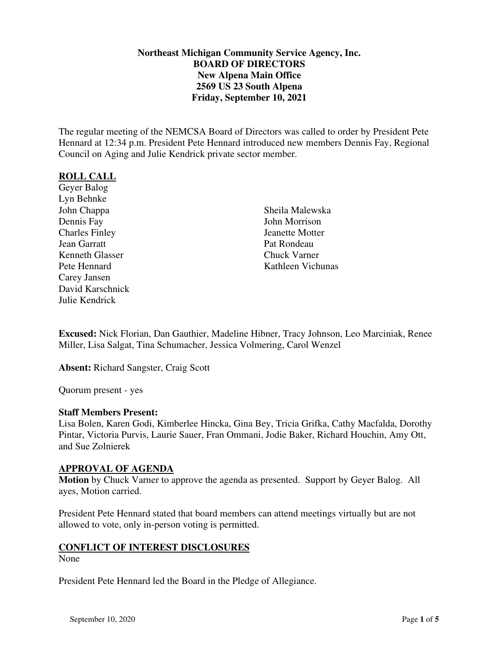## **Northeast Michigan Community Service Agency, Inc. BOARD OF DIRECTORS New Alpena Main Office 2569 US 23 South Alpena Friday, September 10, 2021**

The regular meeting of the NEMCSA Board of Directors was called to order by President Pete Hennard at 12:34 p.m. President Pete Hennard introduced new members Dennis Fay, Regional Council on Aging and Julie Kendrick private sector member.

## **ROLL CALL**

Geyer Balog Lyn Behnke John Chappa Dennis Fay Charles Finley Jean Garratt Kenneth Glasser Pete Hennard Carey Jansen David Karschnick Julie Kendrick

Sheila Malewska John Morrison Jeanette Motter Pat Rondeau Chuck Varner Kathleen Vichunas

**Excused:** Nick Florian, Dan Gauthier, Madeline Hibner, Tracy Johnson, Leo Marciniak, Renee Miller, Lisa Salgat, Tina Schumacher, Jessica Volmering, Carol Wenzel

**Absent:** Richard Sangster, Craig Scott

Quorum present - yes

## **Staff Members Present:**

Lisa Bolen, Karen Godi, Kimberlee Hincka, Gina Bey, Tricia Grifka, Cathy Macfalda, Dorothy Pintar, Victoria Purvis, Laurie Sauer, Fran Ommani, Jodie Baker, Richard Houchin, Amy Ott, and Sue Zolnierek

## **APPROVAL OF AGENDA**

**Motion** by Chuck Varner to approve the agenda as presented. Support by Geyer Balog. All ayes, Motion carried.

President Pete Hennard stated that board members can attend meetings virtually but are not allowed to vote, only in-person voting is permitted.

## **CONFLICT OF INTEREST DISCLOSURES**

None

President Pete Hennard led the Board in the Pledge of Allegiance.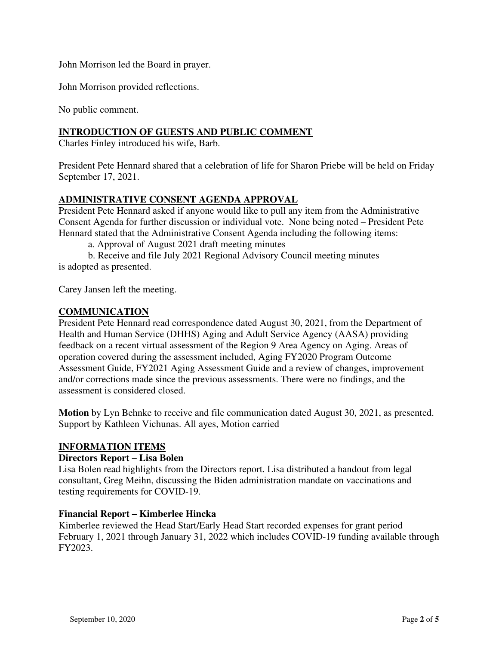John Morrison led the Board in prayer.

John Morrison provided reflections.

No public comment.

# **INTRODUCTION OF GUESTS AND PUBLIC COMMENT**

Charles Finley introduced his wife, Barb.

President Pete Hennard shared that a celebration of life for Sharon Priebe will be held on Friday September 17, 2021.

## **ADMINISTRATIVE CONSENT AGENDA APPROVAL**

President Pete Hennard asked if anyone would like to pull any item from the Administrative Consent Agenda for further discussion or individual vote. None being noted – President Pete Hennard stated that the Administrative Consent Agenda including the following items:

a. Approval of August 2021 draft meeting minutes

b. Receive and file July 2021 Regional Advisory Council meeting minutes is adopted as presented.

Carey Jansen left the meeting.

## **COMMUNICATION**

President Pete Hennard read correspondence dated August 30, 2021, from the Department of Health and Human Service (DHHS) Aging and Adult Service Agency (AASA) providing feedback on a recent virtual assessment of the Region 9 Area Agency on Aging. Areas of operation covered during the assessment included, Aging FY2020 Program Outcome Assessment Guide, FY2021 Aging Assessment Guide and a review of changes, improvement and/or corrections made since the previous assessments. There were no findings, and the assessment is considered closed.

**Motion** by Lyn Behnke to receive and file communication dated August 30, 2021, as presented. Support by Kathleen Vichunas. All ayes, Motion carried

## **INFORMATION ITEMS**

#### **Directors Report – Lisa Bolen**

Lisa Bolen read highlights from the Directors report. Lisa distributed a handout from legal consultant, Greg Meihn, discussing the Biden administration mandate on vaccinations and testing requirements for COVID-19.

#### **Financial Report – Kimberlee Hincka**

Kimberlee reviewed the Head Start/Early Head Start recorded expenses for grant period February 1, 2021 through January 31, 2022 which includes COVID-19 funding available through FY2023.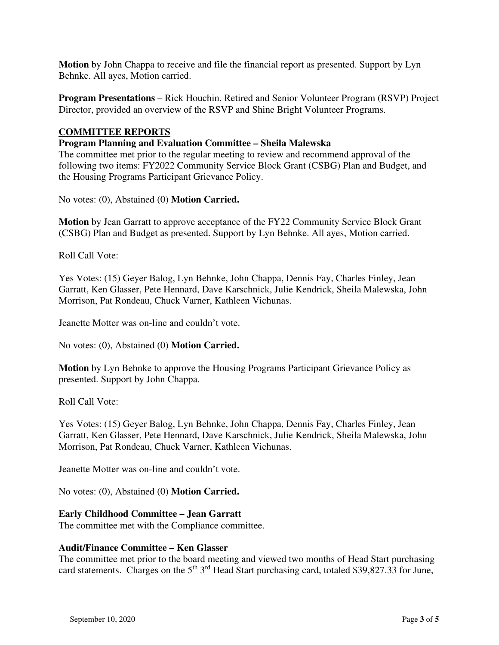**Motion** by John Chappa to receive and file the financial report as presented. Support by Lyn Behnke. All ayes, Motion carried.

**Program Presentations** – Rick Houchin, Retired and Senior Volunteer Program (RSVP) Project Director, provided an overview of the RSVP and Shine Bright Volunteer Programs.

## **COMMITTEE REPORTS**

#### **Program Planning and Evaluation Committee – Sheila Malewska**

The committee met prior to the regular meeting to review and recommend approval of the following two items: FY2022 Community Service Block Grant (CSBG) Plan and Budget, and the Housing Programs Participant Grievance Policy.

No votes: (0), Abstained (0) **Motion Carried.**

**Motion** by Jean Garratt to approve acceptance of the FY22 Community Service Block Grant (CSBG) Plan and Budget as presented. Support by Lyn Behnke. All ayes, Motion carried.

Roll Call Vote:

Yes Votes: (15) Geyer Balog, Lyn Behnke, John Chappa, Dennis Fay, Charles Finley, Jean Garratt, Ken Glasser, Pete Hennard, Dave Karschnick, Julie Kendrick, Sheila Malewska, John Morrison, Pat Rondeau, Chuck Varner, Kathleen Vichunas.

Jeanette Motter was on-line and couldn't vote.

No votes: (0), Abstained (0) **Motion Carried.**

**Motion** by Lyn Behnke to approve the Housing Programs Participant Grievance Policy as presented. Support by John Chappa.

Roll Call Vote:

Yes Votes: (15) Geyer Balog, Lyn Behnke, John Chappa, Dennis Fay, Charles Finley, Jean Garratt, Ken Glasser, Pete Hennard, Dave Karschnick, Julie Kendrick, Sheila Malewska, John Morrison, Pat Rondeau, Chuck Varner, Kathleen Vichunas.

Jeanette Motter was on-line and couldn't vote.

No votes: (0), Abstained (0) **Motion Carried.**

## **Early Childhood Committee – Jean Garratt**

The committee met with the Compliance committee.

## **Audit/Finance Committee – Ken Glasser**

The committee met prior to the board meeting and viewed two months of Head Start purchasing card statements. Charges on the 5<sup>th</sup> 3<sup>rd</sup> Head Start purchasing card, totaled \$39,827.33 for June,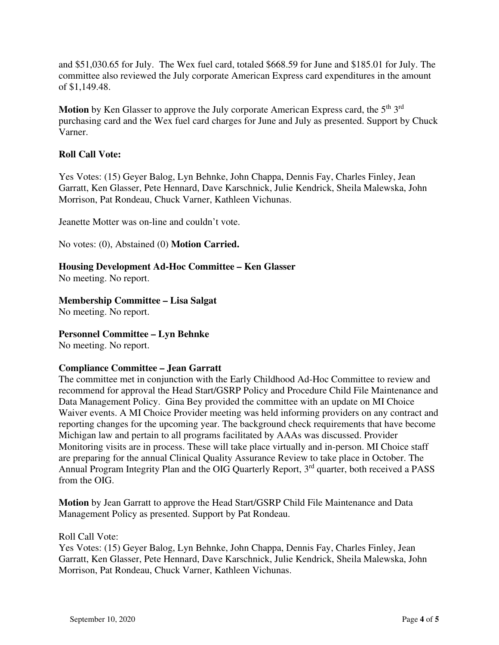and \$51,030.65 for July. The Wex fuel card, totaled \$668.59 for June and \$185.01 for July. The committee also reviewed the July corporate American Express card expenditures in the amount of \$1,149.48.

Motion by Ken Glasser to approve the July corporate American Express card, the 5<sup>th</sup> 3<sup>rd</sup> purchasing card and the Wex fuel card charges for June and July as presented. Support by Chuck Varner.

## **Roll Call Vote:**

Yes Votes: (15) Geyer Balog, Lyn Behnke, John Chappa, Dennis Fay, Charles Finley, Jean Garratt, Ken Glasser, Pete Hennard, Dave Karschnick, Julie Kendrick, Sheila Malewska, John Morrison, Pat Rondeau, Chuck Varner, Kathleen Vichunas.

Jeanette Motter was on-line and couldn't vote.

No votes: (0), Abstained (0) **Motion Carried.**

## **Housing Development Ad-Hoc Committee – Ken Glasser**

No meeting. No report.

## **Membership Committee – Lisa Salgat**

No meeting. No report.

## **Personnel Committee – Lyn Behnke**

No meeting. No report.

## **Compliance Committee – Jean Garratt**

The committee met in conjunction with the Early Childhood Ad-Hoc Committee to review and recommend for approval the Head Start/GSRP Policy and Procedure Child File Maintenance and Data Management Policy. Gina Bey provided the committee with an update on MI Choice Waiver events. A MI Choice Provider meeting was held informing providers on any contract and reporting changes for the upcoming year. The background check requirements that have become Michigan law and pertain to all programs facilitated by AAAs was discussed. Provider Monitoring visits are in process. These will take place virtually and in-person. MI Choice staff are preparing for the annual Clinical Quality Assurance Review to take place in October. The Annual Program Integrity Plan and the OIG Quarterly Report, 3<sup>rd</sup> quarter, both received a PASS from the OIG.

**Motion** by Jean Garratt to approve the Head Start/GSRP Child File Maintenance and Data Management Policy as presented. Support by Pat Rondeau.

#### Roll Call Vote:

Yes Votes: (15) Geyer Balog, Lyn Behnke, John Chappa, Dennis Fay, Charles Finley, Jean Garratt, Ken Glasser, Pete Hennard, Dave Karschnick, Julie Kendrick, Sheila Malewska, John Morrison, Pat Rondeau, Chuck Varner, Kathleen Vichunas.